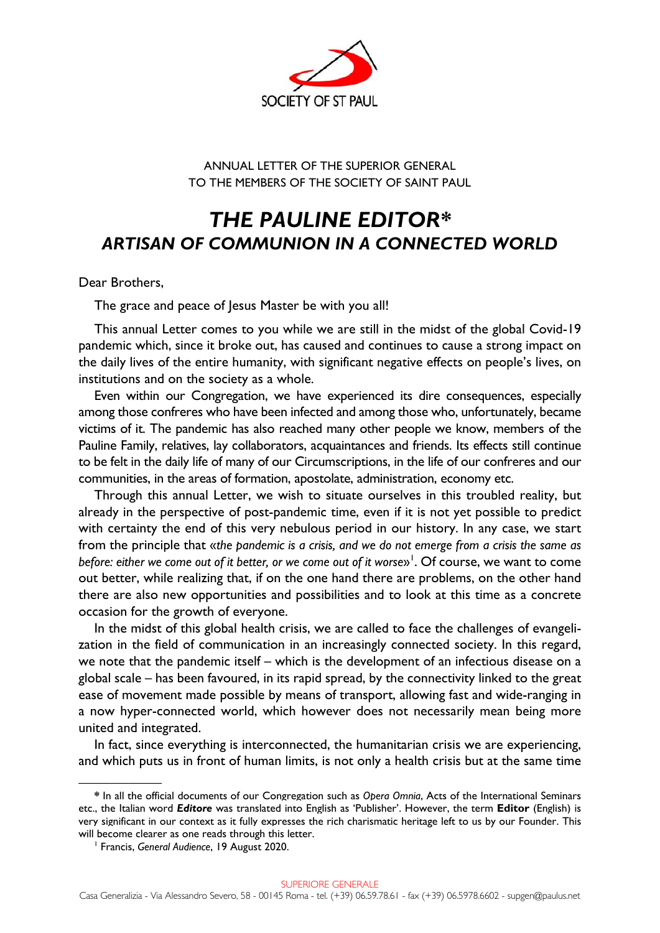

# ANNUAL LETTER OF THE SUPERIOR GENERAL TO THE MEMBERS OF THE SOCIETY OF SAINT PAUL

# *THE PAULINE EDITOR\* ARTISAN OF COMMUNION IN A CONNECTED WORLD*

Dear Brothers,

The grace and peace of Jesus Master be with you all!

This annual Letter comes to you while we are still in the midst of the global Covid-19 pandemic which, since it broke out, has caused and continues to cause a strong impact on the daily lives of the entire humanity, with significant negative effects on people's lives, on institutions and on the society as a whole.

Even within our Congregation, we have experienced its dire consequences, especially among those confreres who have been infected and among those who, unfortunately, became victims of it. The pandemic has also reached many other people we know, members of the Pauline Family, relatives, lay collaborators, acquaintances and friends. Its effects still continue to be felt in the daily life of many of our Circumscriptions, in the life of our confreres and our communities, in the areas of formation, apostolate, administration, economy etc.

Through this annual Letter, we wish to situate ourselves in this troubled reality, but already in the perspective of post-pandemic time, even if it is not yet possible to predict with certainty the end of this very nebulous period in our history. In any case, we start from the principle that «*the pandemic is a crisis, and we do not emerge from a crisis the same as*  before: either we come out of it better, or we come out of it worse»<sup>1</sup>. Of course, we want to come out better, while realizing that, if on the one hand there are problems, on the other hand there are also new opportunities and possibilities and to look at this time as a concrete occasion for the growth of everyone.

In the midst of this global health crisis, we are called to face the challenges of evangelization in the field of communication in an increasingly connected society. In this regard, we note that the pandemic itself – which is the development of an infectious disease on a global scale – has been favoured, in its rapid spread, by the connectivity linked to the great ease of movement made possible by means of transport, allowing fast and wide-ranging in a now hyper-connected world, which however does not necessarily mean being more united and integrated.

In fact, since everything is interconnected, the humanitarian crisis we are experiencing, and which puts us in front of human limits, is not only a health crisis but at the same time

–––––––––––––––

**<sup>\*</sup>** In all the official documents of our Congregation such as *Opera Omnia*, Acts of the International Seminars etc., the Italian word *Editore* was translated into English as 'Publisher'. However, the term **Editor** (English) is very significant in our context as it fully expresses the rich charismatic heritage left to us by our Founder. This will become clearer as one reads through this letter.

Francis, *General Audience*, 19 August 2020.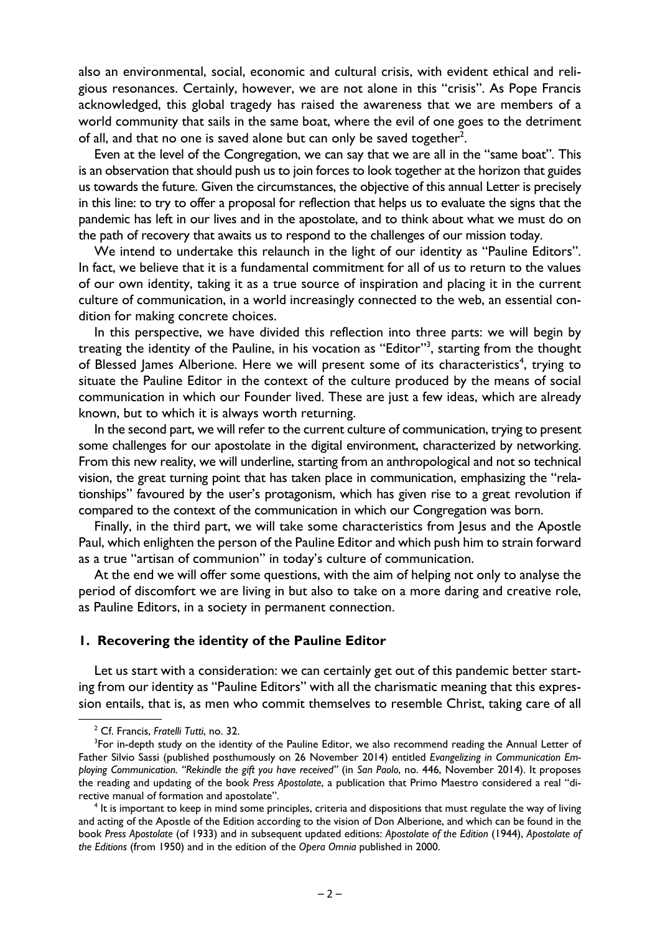also an environmental, social, economic and cultural crisis, with evident ethical and religious resonances. Certainly, however, we are not alone in this "crisis". As Pope Francis acknowledged, this global tragedy has raised the awareness that we are members of a world community that sails in the same boat, where the evil of one goes to the detriment of all, and that no one is saved alone but can only be saved together<sup>2</sup>.

Even at the level of the Congregation, we can say that we are all in the "same boat". This is an observation that should push us to join forces to look together at the horizon that guides us towards the future. Given the circumstances, the objective of this annual Letter is precisely in this line: to try to offer a proposal for reflection that helps us to evaluate the signs that the pandemic has left in our lives and in the apostolate, and to think about what we must do on the path of recovery that awaits us to respond to the challenges of our mission today.

We intend to undertake this relaunch in the light of our identity as "Pauline Editors". In fact, we believe that it is a fundamental commitment for all of us to return to the values of our own identity, taking it as a true source of inspiration and placing it in the current culture of communication, in a world increasingly connected to the web, an essential condition for making concrete choices.

In this perspective, we have divided this reflection into three parts: we will begin by treating the identity of the Pauline, in his vocation as "Editor"<sup>3</sup>, starting from the thought of Blessed James Alberione. Here we will present some of its characteristics<sup>4</sup>, trying to situate the Pauline Editor in the context of the culture produced by the means of social communication in which our Founder lived. These are just a few ideas, which are already known, but to which it is always worth returning.

In the second part, we will refer to the current culture of communication, trying to present some challenges for our apostolate in the digital environment, characterized by networking. From this new reality, we will underline, starting from an anthropological and not so technical vision, the great turning point that has taken place in communication, emphasizing the "relationships" favoured by the user's protagonism, which has given rise to a great revolution if compared to the context of the communication in which our Congregation was born.

Finally, in the third part, we will take some characteristics from Jesus and the Apostle Paul, which enlighten the person of the Pauline Editor and which push him to strain forward as a true "artisan of communion" in today's culture of communication.

At the end we will offer some questions, with the aim of helping not only to analyse the period of discomfort we are living in but also to take on a more daring and creative role, as Pauline Editors, in a society in permanent connection.

#### **1. Recovering the identity of the Pauline Editor**

Let us start with a consideration: we can certainly get out of this pandemic better starting from our identity as "Pauline Editors" with all the charismatic meaning that this expression entails, that is, as men who commit themselves to resemble Christ, taking care of all

 $\frac{2 \text{ C} \cdot \text{E} \cdot \text{E}}{2 \text{ C} \cdot \text{E} \cdot \text{E} \cdot \text{E} \cdot \text{E} \cdot \text{E}}$ <sup>2</sup> Cf. Francis, *Fratelli Tutti*, no. 32.<br><sup>3</sup> For in donth study on the ident

<sup>&</sup>lt;sup>3</sup>For in-depth study on the identity of the Pauline Editor, we also recommend reading the Annual Letter of Father Silvio Sassi (published posthumously on 26 November 2014) entitled *Evangelizing in Communication Employing Communication. "Rekindle the gift you have received"* (in *San Paolo*, no. 446, November 2014). It proposes the reading and updating of the book *Press Apostolate*, a publication that Primo Maestro considered a real "directive manual of formation and apostolate". 4

 $<sup>4</sup>$  It is important to keep in mind some principles, criteria and dispositions that must regulate the way of living</sup> and acting of the Apostle of the Edition according to the vision of Don Alberione, and which can be found in the book *Press Apostolate* (of 1933) and in subsequent updated editions: *Apostolate of the Edition* (1944), *Apostolate of the Editions* (from 1950) and in the edition of the *Opera Omnia* published in 2000.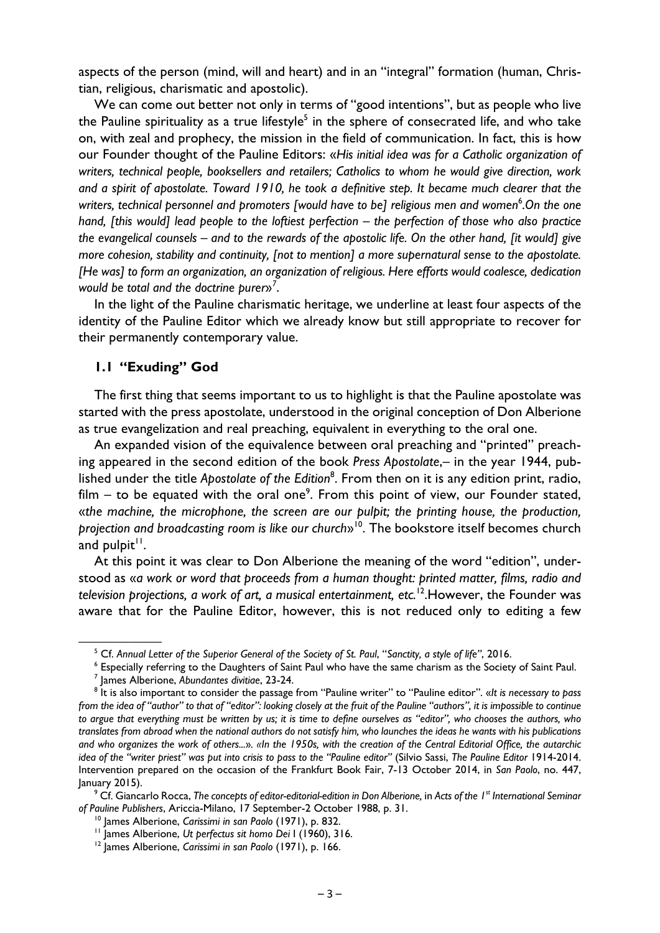aspects of the person (mind, will and heart) and in an "integral" formation (human, Christian, religious, charismatic and apostolic).

We can come out better not only in terms of "good intentions", but as people who live the Pauline spirituality as a true lifestyle<sup>5</sup> in the sphere of consecrated life, and who take on, with zeal and prophecy, the mission in the field of communication. In fact, this is how our Founder thought of the Pauline Editors: «*His initial idea was for a Catholic organization of writers, technical people, booksellers and retailers; Catholics to whom he would give direction, work and a spirit of apostolate. Toward 1910, he took a definitive step. It became much clearer that the*  writers, technical personnel and promoters [would have to be] religious men and women<sup>6</sup>.On the one *hand, [this would] lead people to the loftiest perfection – the perfection of those who also practice the evangelical counsels – and to the rewards of the apostolic life. On the other hand, [it would] give more cohesion, stability and continuity, [not to mention] a more supernatural sense to the apostolate. [He was] to form an organization, an organization of religious. Here efforts would coalesce, dedication would be total and the doctrine purer*»*<sup>7</sup>* .

In the light of the Pauline charismatic heritage, we underline at least four aspects of the identity of the Pauline Editor which we already know but still appropriate to recover for their permanently contemporary value.

## **1.1 "Exuding" God**

The first thing that seems important to us to highlight is that the Pauline apostolate was started with the press apostolate, understood in the original conception of Don Alberione as true evangelization and real preaching, equivalent in everything to the oral one.

An expanded vision of the equivalence between oral preaching and "printed" preaching appeared in the second edition of the book *Press Apostolate*,– in the year 1944, published under the title Apostolate of the Edition<sup>8</sup>. From then on it is any edition print, radio, film  $-$  to be equated with the oral one<sup>9</sup>. From this point of view, our Founder stated, «*the machine, the microphone, the screen are our pulpit; the printing house, the production, projection and broadcasting room is like our church*»10. The bookstore itself becomes church and pulpit $1$ .

At this point it was clear to Don Alberione the meaning of the word "edition", understood as «*a work or word that proceeds from a human thought: printed matter, films, radio and television projections, a work of art, a musical entertainment, etc.*12.However, the Founder was aware that for the Pauline Editor, however, this is not reduced only to editing a few

 Cf. Giancarlo Rocca, *The concepts of editor-editorial-edition in Don Alberione,* in *Acts of the 1st International Seminar*  of Pauline Publishers, Ariccia-Milano, 17 September-2 October 1988, p. 31.<br><sup>10</sup> James Alberione, *Carissimi in san Paolo* (1971), p. 832.<br><sup>11</sup> James Alberione, *Ut perfectus sit homo Dei* 1 (1960), 316.<br><sup>12</sup> Iames Alberion

 $\frac{1}{5}$  Cf. Annual Lett <sup>5</sup> Cf. Annual Letter of the Superior General of the Society of St. Paul, "Sanctity, a style of life", 2016.<br><sup>6</sup> Especially referring to the Daughters of Saint Paul who have the same charism as the Society

<sup>&</sup>lt;sup>6</sup> Especially referring to the Daughters of Saint Paul who have the same charism as the Society of Saint Paul.

<sup>&</sup>lt;sup>7</sup> James Alberione, Abundantes divitiae, 23-24.

<sup>&</sup>lt;sup>8</sup> It is also important to consider the passage from "Pauline writer" to "Pauline editor". «*It is necessary to pass from the idea of "author" to that of "editor": looking closely at the fruit of the Pauline "authors", it is impossible to continue to argue that everything must be written by us; it is time to define ourselves as "editor", who chooses the authors, who translates from abroad when the national authors do not satisfy him, who launches the ideas he wants with his publications and who organizes the work of others...*»*. «In the 1950s, with the creation of the Central Editorial Office, the autarchic idea of the "writer priest" was put into crisis to pass to the "Pauline editor"* (Silvio Sassi, *The Pauline Editor* 1914-2014. Intervention prepared on the occasion of the Frankfurt Book Fair, 7-13 October 2014, in *San Paolo*, no. 447,  $lanuary 2015$ ).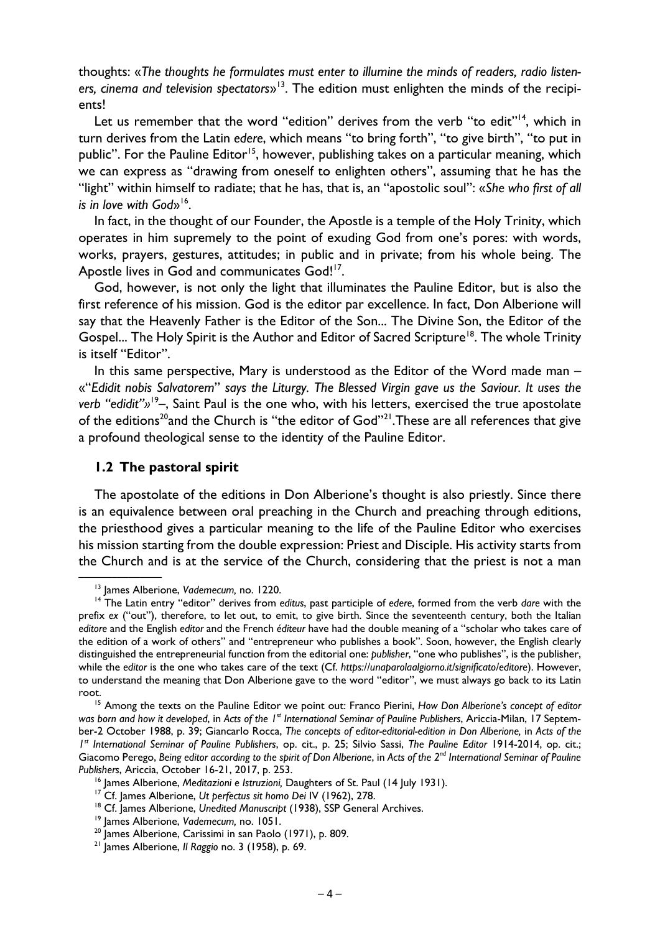thoughts: «*The thoughts he formulates must enter to illumine the minds of readers, radio listeners, cinema and television spectators*»13. The edition must enlighten the minds of the recipients!

Let us remember that the word "edition" derives from the verb "to edit"<sup>14</sup>, which in turn derives from the Latin *edere*, which means "to bring forth", "to give birth", "to put in public". For the Pauline Editor<sup>15</sup>, however, publishing takes on a particular meaning, which we can express as "drawing from oneself to enlighten others", assuming that he has the "light" within himself to radiate; that he has, that is, an "apostolic soul": «*She who first of all is in love with God*<sup>16</sup>.

In fact, in the thought of our Founder, the Apostle is a temple of the Holy Trinity, which operates in him supremely to the point of exuding God from one's pores: with words, works, prayers, gestures, attitudes; in public and in private; from his whole being. The Apostle lives in God and communicates God!<sup>17</sup>.

God, however, is not only the light that illuminates the Pauline Editor, but is also the first reference of his mission. God is the editor par excellence. In fact, Don Alberione will say that the Heavenly Father is the Editor of the Son... The Divine Son, the Editor of the Gospel... The Holy Spirit is the Author and Editor of Sacred Scripture<sup>18</sup>. The whole Trinity is itself "Editor".

In this same perspective, Mary is understood as the Editor of the Word made man – «"*Edidit nobis Salvatorem*" *says the Liturgy. The Blessed Virgin gave us the Saviour. It uses the verb "edidit"»*<sup>19</sup>*–*, Saint Paul is the one who, with his letters, exercised the true apostolate of the editions<sup>20</sup>and the Church is "the editor of God"<sup>21</sup>. These are all references that give a profound theological sense to the identity of the Pauline Editor.

#### **1.2 The pastoral spirit**

The apostolate of the editions in Don Alberione's thought is also priestly. Since there is an equivalence between oral preaching in the Church and preaching through editions, the priesthood gives a particular meaning to the life of the Pauline Editor who exercises his mission starting from the double expression: Priest and Disciple. His activity starts from the Church and is at the service of the Church, considering that the priest is not a man

<sup>&</sup>lt;sup>13</sup> James Alberione, *Vademecum, no. 1220.*<br><sup>14</sup> The Latin entry "editor" derives from editus, past participle of edere, formed from the verb *dare* with the prefix *ex* ("out"), therefore, to let out, to emit, to give birth. Since the seventeenth century, both the Italian *editore* and the English *editor* and the French *éditeur* have had the double meaning of a "scholar who takes care of the edition of a work of others" and "entrepreneur who publishes a book". Soon, however, the English clearly distinguished the entrepreneurial function from the editorial one: *publisher*, "one who publishes", is the publisher, while the *editor* is the one who takes care of the text (Cf. *https://unaparolaalgiorno.it/significato/editore*). However, to understand the meaning that Don Alberione gave to the word "editor", we must always go back to its Latin

root. 15 Among the texts on the Pauline Editor we point out: Franco Pierini, *How Don Alberione's concept of editor was born and how it developed*, in *Acts of the 1st International Seminar of Pauline Publishers*, Ariccia-Milan, 17 September-2 October 1988, p. 39; Giancarlo Rocca, *The concepts of editor-editorial-edition in Don Alberione,* in *Acts of the 1st International Seminar of Pauline Publishers*, op. cit., p. 25; Silvio Sassi, *The Pauline Editor* 1914-2014, op. cit.; Giacomo Perego, *Being editor according to the spirit of Don Alberione*, in *Acts of the 2nd International Seminar of Pauline*  Publishers, Ariccia, October 16-21, 2017, p. 253.<br><sup>16</sup> James Alberione, *Meditazioni* e Istruzioni, Daughters of St. Paul (14 July 1931).<br><sup>17</sup> Cf. James Alberione, *Ut perfectus sit homo Dei IV* (1962), 278.<br><sup>18</sup> Cf. Jame

<sup>21</sup> James Alberione, *Il Raggio* no. 3 (1958), p. 69.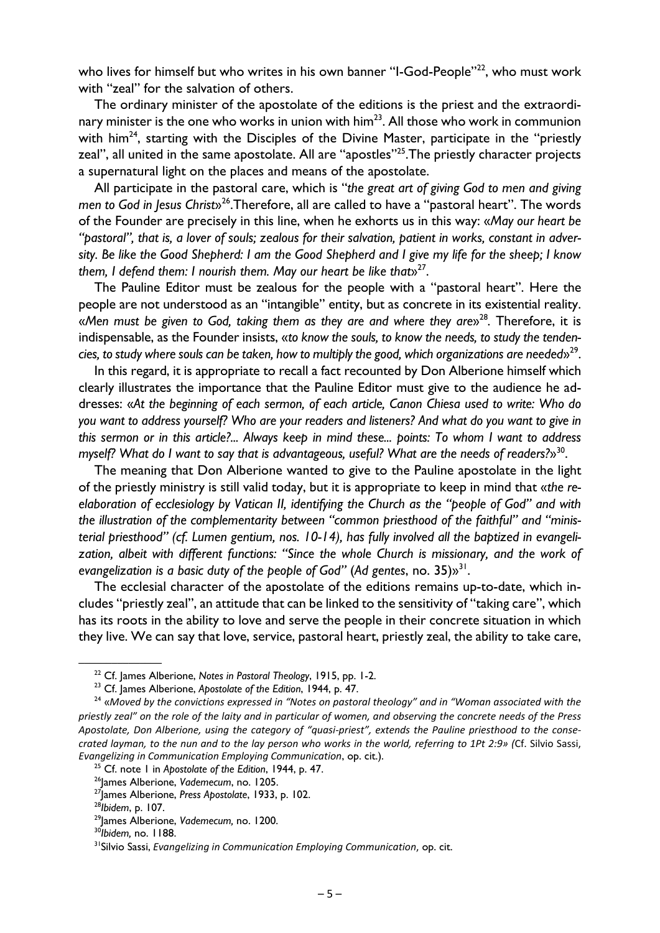who lives for himself but who writes in his own banner "I-God-People"<sup>22</sup>, who must work with "zeal" for the salvation of others.

The ordinary minister of the apostolate of the editions is the priest and the extraordinary minister is the one who works in union with  $\lim^{23}$ . All those who work in communion with him<sup>24</sup>, starting with the Disciples of the Divine Master, participate in the "priestly zeal", all united in the same apostolate. All are "apostles"<sup>25</sup>. The priestly character projects a supernatural light on the places and means of the apostolate.

All participate in the pastoral care, which is "*the great art of giving God to men and giving men to God in Jesus Christ*»26.Therefore, all are called to have a "pastoral heart". The words of the Founder are precisely in this line, when he exhorts us in this way: «*May our heart be "pastoral", that is, a lover of souls; zealous for their salvation, patient in works, constant in adversity. Be like the Good Shepherd: I am the Good Shepherd and I give my life for the sheep; I know them, I defend them: I nourish them. May our heart be like that*»27.

The Pauline Editor must be zealous for the people with a "pastoral heart". Here the people are not understood as an "intangible" entity, but as concrete in its existential reality. «Men must be given to God, taking them as they are and where they are»<sup>28</sup>. Therefore, it is indispensable, as the Founder insists, «*to know the souls, to know the needs, to study the tendencies, to study where souls can be taken, how to multiply the good, which organizations are needed*»29.

In this regard, it is appropriate to recall a fact recounted by Don Alberione himself which clearly illustrates the importance that the Pauline Editor must give to the audience he addresses: «*At the beginning of each sermon, of each article, Canon Chiesa used to write: Who do you want to address yourself? Who are your readers and listeners? And what do you want to give in this sermon or in this article?... Always keep in mind these... points: To whom I want to address myself? What do I want to say that is advantageous, useful? What are the needs of readers?*»30.

The meaning that Don Alberione wanted to give to the Pauline apostolate in the light of the priestly ministry is still valid today, but it is appropriate to keep in mind that «*the reelaboration of ecclesiology by Vatican II, identifying the Church as the "people of God" and with the illustration of the complementarity between "common priesthood of the faithful" and "ministerial priesthood" (cf. Lumen gentium, nos. 10-14), has fully involved all the baptized in evangelization, albeit with different functions: "Since the whole Church is missionary, and the work of evangelization is a basic duty of the people of God"* (*Ad gentes*, no. 35)»31.

The ecclesial character of the apostolate of the editions remains up-to-date, which includes "priestly zeal", an attitude that can be linked to the sensitivity of "taking care", which has its roots in the ability to love and serve the people in their concrete situation in which they live. We can say that love, service, pastoral heart, priestly zeal, the ability to take care,

<sup>&</sup>lt;sup>22</sup> Cf. James Alberione, Notes in Pastoral Theology, 1915, pp. 1-2.<br><sup>23</sup> Cf. James Alberione, Apostolate of the Edition, 1944, p. 47.<br><sup>24</sup> «Moved by the convictions expressed in "Notes on pastoral theology" and in "Woman *priestly zeal" on the role of the laity and in particular of women, and observing the concrete needs of the Press Apostolate, Don Alberione, using the category of "quasi‐priest", extends the Pauline priesthood to the conse‐ crated layman, to the nun and to the lay person who works in the world, referring to 1Pt 2:9» (*Cf. Silvio Sassi, Evangelizing in Communication Employing Communication, op. cit.).<br><sup>25</sup> Cf. note 1 in Apostolate of the Edition, 1944, p. 47.<br><sup>26</sup> James Alberione, Vademecum, no. 1205.<br><sup>27</sup> James Alberione, Press Apostolate, 1933, p. 102.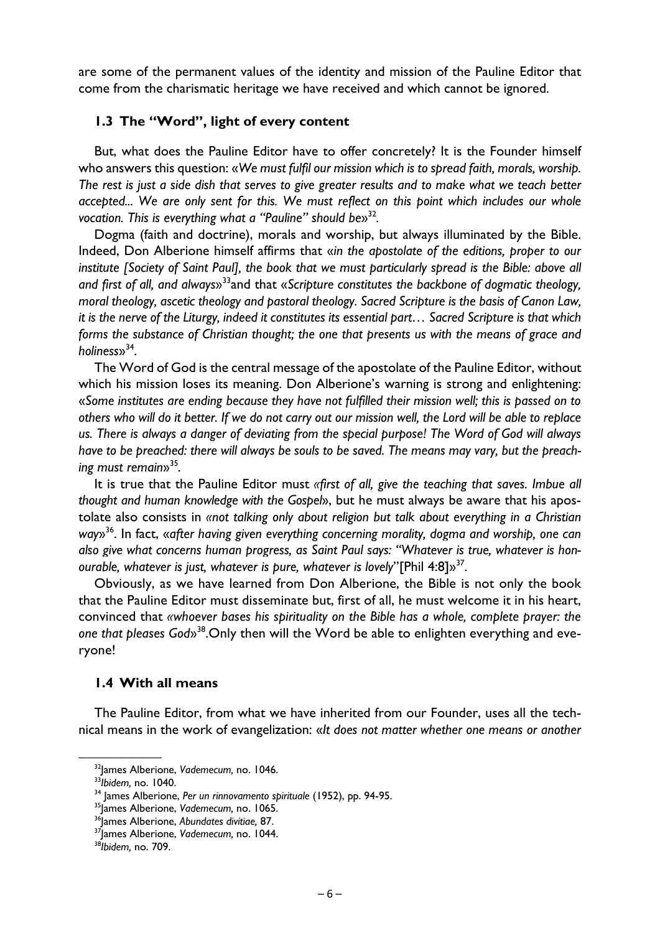are some of the permanent values of the identity and mission of the Pauline Editor that come from the charismatic heritage we have received and which cannot be ignored.

# **1.3 The "Word", light of every content**

But, what does the Pauline Editor have to offer concretely? It is the Founder himself who answers this question: «*We must fulfil our mission which is to spread faith, morals, worship. The rest is just a side dish that serves to give greater results and to make what we teach better accepted... We are only sent for this. We must reflect on this point which includes our whole vocation. This is everything what a "Pauline" should be*»32*.*

Dogma (faith and doctrine), morals and worship, but always illuminated by the Bible. Indeed, Don Alberione himself affirms that «*in the apostolate of the editions, proper to our institute [Society of Saint Paul], the book that we must particularly spread is the Bible: above all and first of all, and always*»33and that «*Scripture constitutes the backbone of dogmatic theology, moral theology, ascetic theology and pastoral theology. Sacred Scripture is the basis of Canon Law, it is the nerve of the Liturgy, indeed it constitutes its essential part… Sacred Scripture is that which forms the substance of Christian thought; the one that presents us with the means of grace and holiness*»34.

The Word of God is the central message of the apostolate of the Pauline Editor, without which his mission loses its meaning. Don Alberione's warning is strong and enlightening: «*Some institutes are ending because they have not fulfilled their mission well; this is passed on to others who will do it better. If we do not carry out our mission well, the Lord will be able to replace us. There is always a danger of deviating from the special purpose! The Word of God will always have to be preached: there will always be souls to be saved. The means may vary, but the preaching must remain*»35*.* 

It is true that the Pauline Editor must *«first of all, give the teaching that saves. Imbue all thought and human knowledge with the Gospel*», but he must always be aware that his apostolate also consists in *«not talking only about religion but talk about everything in a Christian way*»36. In fact, «*after having given everything concerning morality, dogma and worship, one can also give what concerns human progress, as Saint Paul says: "Whatever is true, whatever is honourable, whatever is just, whatever is pure, whatever is lovely*"[Phil 4:8]»37.

Obviously, as we have learned from Don Alberione, the Bible is not only the book that the Pauline Editor must disseminate but, first of all, he must welcome it in his heart, convinced that *«whoever bases his spirituality on the Bible has a whole, complete prayer: the one that pleases God*»38.Only then will the Word be able to enlighten everything and everyone!

## **1.4 With all means**

The Pauline Editor, from what we have inherited from our Founder, uses all the technical means in the work of evangelization: «*It does not matter whether one means or another* 

<sup>&</sup>lt;sup>32</sup>]ames Alberione, Vademecum, no. 1046.<br><sup>33</sup>Jbidem, no. 1040.<br><sup>34</sup> James Alberione, Per un rinnovamento spirituale (1952), pp. 94-95.<br><sup>35</sup>James Alberione, Vademecum, no. 1065.<br><sup>36</sup>James Alberione, Abundates divitiae, 87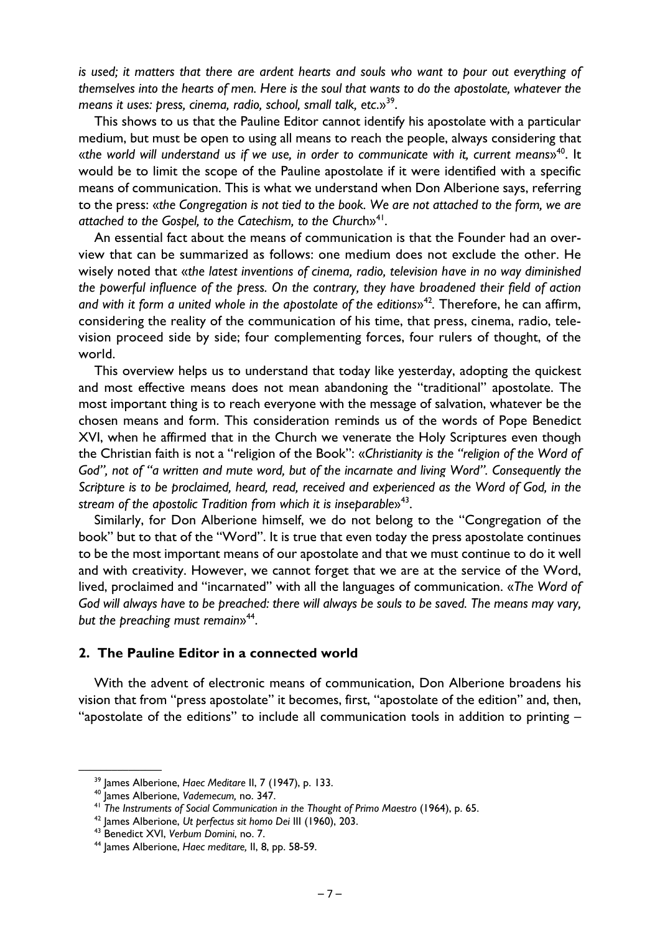*is used; it matters that there are ardent hearts and souls who want to pour out everything of themselves into the hearts of men. Here is the soul that wants to do the apostolate, whatever the means it uses: press, cinema, radio, school, small talk, etc*.»39.

This shows to us that the Pauline Editor cannot identify his apostolate with a particular medium, but must be open to using all means to reach the people, always considering that «*the world will understand us if we use, in order to communicate with it, current means*»40. It would be to limit the scope of the Pauline apostolate if it were identified with a specific means of communication. This is what we understand when Don Alberione says, referring to the press: «*the Congregation is not tied to the book. We are not attached to the form, we are attached to the Gospel, to the Catechism, to the Churc*h»41.

An essential fact about the means of communication is that the Founder had an overview that can be summarized as follows: one medium does not exclude the other. He wisely noted that «*the latest inventions of cinema, radio, television have in no way diminished the powerful influence of the press. On the contrary, they have broadened their field of action*  and with it form a united whole in the apostolate of the editions»<sup>42</sup>. Therefore, he can affirm, considering the reality of the communication of his time, that press, cinema, radio, television proceed side by side; four complementing forces, four rulers of thought, of the world.

This overview helps us to understand that today like yesterday, adopting the quickest and most effective means does not mean abandoning the "traditional" apostolate. The most important thing is to reach everyone with the message of salvation, whatever be the chosen means and form. This consideration reminds us of the words of Pope Benedict XVI, when he affirmed that in the Church we venerate the Holy Scriptures even though the Christian faith is not a "religion of the Book": «*Christianity is the "religion of the Word of God", not of "a written and mute word, but of the incarnate and living Word". Consequently the Scripture is to be proclaimed, heard, read, received and experienced as the Word of God, in the*  stream of the apostolic Tradition from which it is inseparable»<sup>43</sup>.

Similarly, for Don Alberione himself, we do not belong to the "Congregation of the book" but to that of the "Word". It is true that even today the press apostolate continues to be the most important means of our apostolate and that we must continue to do it well and with creativity. However, we cannot forget that we are at the service of the Word, lived, proclaimed and "incarnated" with all the languages of communication. «*The Word of God will always have to be preached: there will always be souls to be saved. The means may vary, but the preaching must remain*»44.

# **2. The Pauline Editor in a connected world**

With the advent of electronic means of communication, Don Alberione broadens his vision that from "press apostolate" it becomes, first, "apostolate of the edition" and, then, "apostolate of the editions" to include all communication tools in addition to printing –

<sup>&</sup>lt;sup>39</sup> James Alberione, *Haec Meditare II*, 7 (1947), p. 133.<br><sup>40</sup> James Alberione, *Vademecum*, no. 347.<br><sup>41</sup> The Instruments of Social Communication in the Thought of Primo Maestro (1964), p. 65.<br><sup>42</sup> James Alberione, *Ut*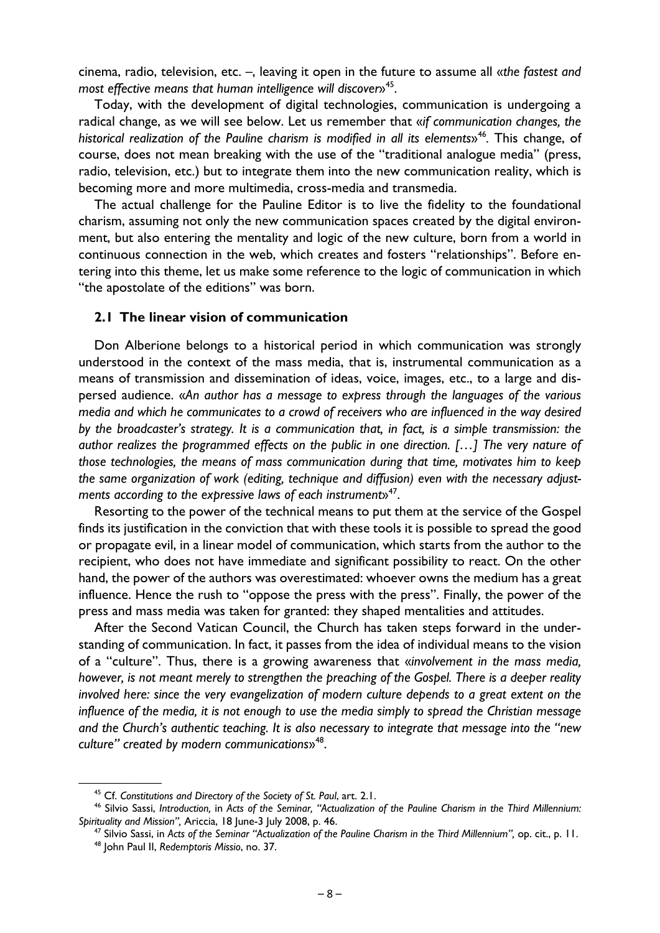cinema, radio, television, etc. –, leaving it open in the future to assume all «*the fastest and most effective means that human intelligence will discover*»45.

Today, with the development of digital technologies, communication is undergoing a radical change, as we will see below. Let us remember that «*if communication changes, the historical realization of the Pauline charism is modified in all its elements*»46*.* This change, of course, does not mean breaking with the use of the "traditional analogue media" (press, radio, television, etc.) but to integrate them into the new communication reality, which is becoming more and more multimedia, cross-media and transmedia.

The actual challenge for the Pauline Editor is to live the fidelity to the foundational charism, assuming not only the new communication spaces created by the digital environment, but also entering the mentality and logic of the new culture, born from a world in continuous connection in the web, which creates and fosters "relationships". Before entering into this theme, let us make some reference to the logic of communication in which "the apostolate of the editions" was born.

#### **2.1 The linear vision of communication**

Don Alberione belongs to a historical period in which communication was strongly understood in the context of the mass media, that is, instrumental communication as a means of transmission and dissemination of ideas, voice, images, etc., to a large and dispersed audience. «*An author has a message to express through the languages of the various media and which he communicates to a crowd of receivers who are influenced in the way desired by the broadcaster's strategy. It is a communication that, in fact, is a simple transmission: the author realizes the programmed effects on the public in one direction. […] The very nature of those technologies, the means of mass communication during that time, motivates him to keep the same organization of work (editing, technique and diffusion) even with the necessary adjust*ments according to the expressive laws of each instruments<sup>47</sup>.

Resorting to the power of the technical means to put them at the service of the Gospel finds its justification in the conviction that with these tools it is possible to spread the good or propagate evil, in a linear model of communication, which starts from the author to the recipient, who does not have immediate and significant possibility to react. On the other hand, the power of the authors was overestimated: whoever owns the medium has a great influence. Hence the rush to "oppose the press with the press". Finally, the power of the press and mass media was taken for granted: they shaped mentalities and attitudes.

After the Second Vatican Council, the Church has taken steps forward in the understanding of communication. In fact, it passes from the idea of individual means to the vision of a "culture". Thus, there is a growing awareness that «*involvement in the mass media, however, is not meant merely to strengthen the preaching of the Gospel. There is a deeper reality involved here: since the very evangelization of modern culture depends to a great extent on the influence of the media, it is not enough to use the media simply to spread the Christian message and the Church's authentic teaching. It is also necessary to integrate that message into the "new culture" created by modern communications*»48.

<sup>&</sup>lt;sup>45</sup> Cf. Constitutions and Directory of the Society of St. Paul, art. 2.1.<br><sup>46</sup> Silvio Sassi, Introduction, in Acts of the Seminar, "Actualization of the Pauline Charism in the Third Millennium:

Spirituality and Mission", Ariccia, 18 June-3 July 2008, p. 46.<br><sup>47</sup> Silvio Sassi, in Acts of the Seminar "Actualization of the Pauline Charism in the Third Millennium", op. cit., p. 11.<br><sup>48</sup> John Paul II, Redemptoris Miss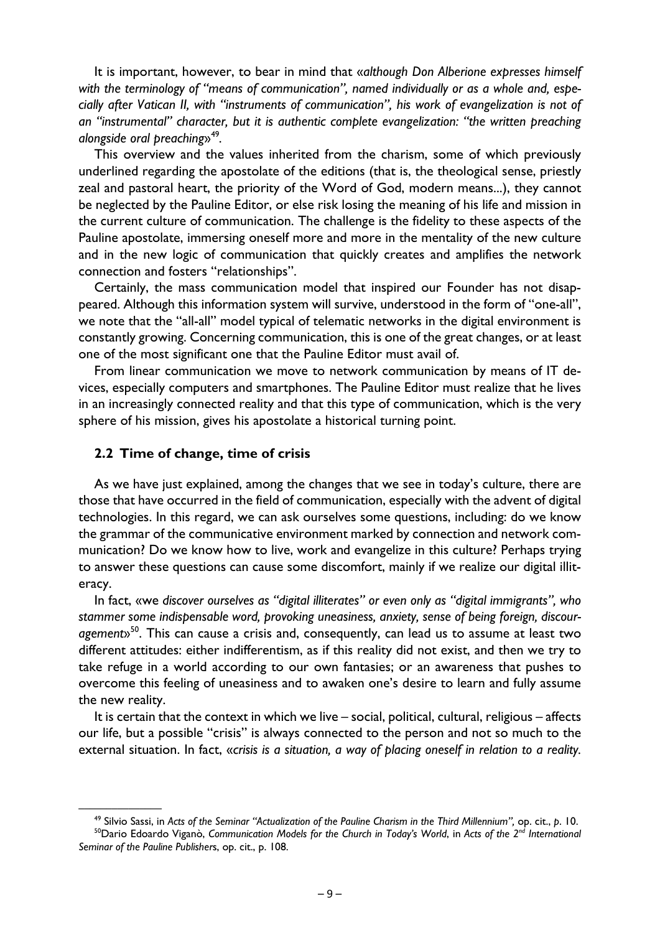It is important, however, to bear in mind that «*although Don Alberione expresses himself with the terminology of "means of communication", named individually or as a whole and, especially after Vatican II, with "instruments of communication", his work of evangelization is not of an "instrumental" character, but it is authentic complete evangelization: "the written preaching alongside oral preaching*»49*.*

This overview and the values inherited from the charism, some of which previously underlined regarding the apostolate of the editions (that is, the theological sense, priestly zeal and pastoral heart, the priority of the Word of God, modern means...), they cannot be neglected by the Pauline Editor, or else risk losing the meaning of his life and mission in the current culture of communication. The challenge is the fidelity to these aspects of the Pauline apostolate, immersing oneself more and more in the mentality of the new culture and in the new logic of communication that quickly creates and amplifies the network connection and fosters "relationships".

Certainly, the mass communication model that inspired our Founder has not disappeared. Although this information system will survive, understood in the form of "one-all", we note that the "all-all" model typical of telematic networks in the digital environment is constantly growing. Concerning communication, this is one of the great changes, or at least one of the most significant one that the Pauline Editor must avail of.

From linear communication we move to network communication by means of IT devices, especially computers and smartphones. The Pauline Editor must realize that he lives in an increasingly connected reality and that this type of communication, which is the very sphere of his mission, gives his apostolate a historical turning point.

#### **2.2 Time of change, time of crisis**

As we have just explained, among the changes that we see in today's culture, there are those that have occurred in the field of communication, especially with the advent of digital technologies. In this regard, we can ask ourselves some questions, including: do we know the grammar of the communicative environment marked by connection and network communication? Do we know how to live, work and evangelize in this culture? Perhaps trying to answer these questions can cause some discomfort, mainly if we realize our digital illiteracy.

In fact, «we *discover ourselves as "digital illiterates" or even only as "digital immigrants", who stammer some indispensable word, provoking uneasiness, anxiety, sense of being foreign, discouragement*»50. This can cause a crisis and, consequently, can lead us to assume at least two different attitudes: either indifferentism, as if this reality did not exist, and then we try to take refuge in a world according to our own fantasies; or an awareness that pushes to overcome this feeling of uneasiness and to awaken one's desire to learn and fully assume the new reality.

It is certain that the context in which we live – social, political, cultural, religious – affects our life, but a possible "crisis" is always connected to the person and not so much to the external situation. In fact, «*crisis is a situation, a way of placing oneself in relation to a reality.* 

<sup>&</sup>lt;sup>49</sup> Silvio Sassi, in Acts of the Seminar "Actualization of the Pauline Charism in the Third Millennium", op. cit., p. 10.<br><sup>50</sup>Dario Edoardo Viganò, Communication Models for the Church in Today's World, in Acts of the 2<sup>n</sup>

*Seminar of the Pauline Publisher*s, op. cit., p. 108.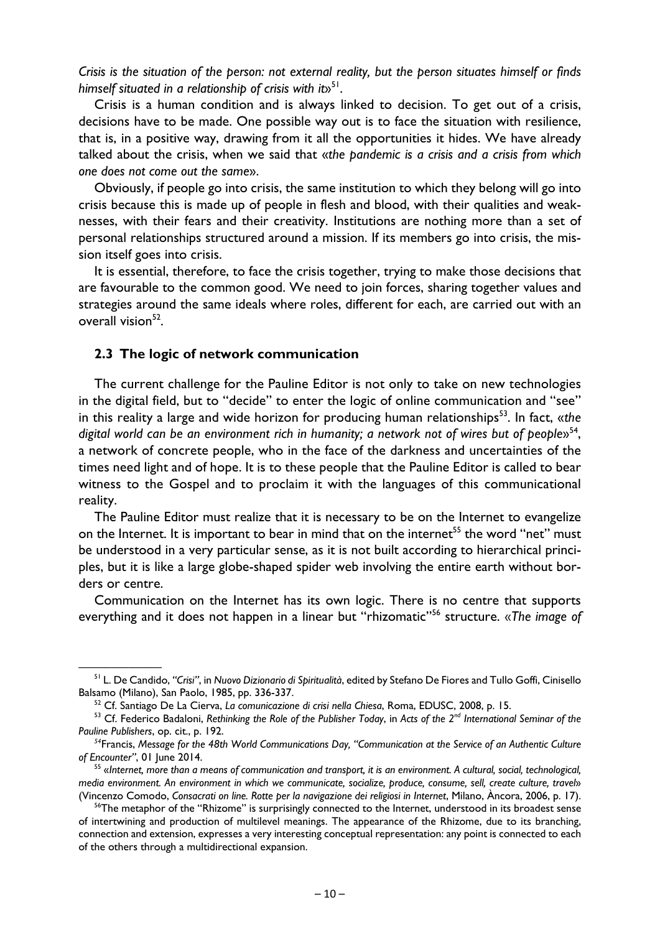*Crisis is the situation of the person: not external reality, but the person situates himself or finds himself situated in a relationship of crisis with it*»51.

Crisis is a human condition and is always linked to decision. To get out of a crisis, decisions have to be made. One possible way out is to face the situation with resilience, that is, in a positive way, drawing from it all the opportunities it hides. We have already talked about the crisis, when we said that «*the pandemic is a crisis and a crisis from which one does not come out the same*».

Obviously, if people go into crisis, the same institution to which they belong will go into crisis because this is made up of people in flesh and blood, with their qualities and weaknesses, with their fears and their creativity. Institutions are nothing more than a set of personal relationships structured around a mission. If its members go into crisis, the mission itself goes into crisis.

It is essential, therefore, to face the crisis together, trying to make those decisions that are favourable to the common good. We need to join forces, sharing together values and strategies around the same ideals where roles, different for each, are carried out with an overall vision $52$ .

## **2.3 The logic of network communication**

The current challenge for the Pauline Editor is not only to take on new technologies in the digital field, but to "decide" to enter the logic of online communication and "see" in this reality a large and wide horizon for producing human relationships<sup>53</sup>. In fact, «*the* digital world can be an environment rich in humanity; a network not of wires but of people»<sup>54</sup>, a network of concrete people, who in the face of the darkness and uncertainties of the times need light and of hope. It is to these people that the Pauline Editor is called to bear witness to the Gospel and to proclaim it with the languages of this communicational reality.

The Pauline Editor must realize that it is necessary to be on the Internet to evangelize on the Internet. It is important to bear in mind that on the internet<sup>55</sup> the word "net" must be understood in a very particular sense, as it is not built according to hierarchical principles, but it is like a large globe-shaped spider web involving the entire earth without borders or centre.

Communication on the Internet has its own logic. There is no centre that supports everything and it does not happen in a linear but "rhizomatic"56 structure. «*The image of* 

<sup>&</sup>lt;sup>51</sup> L. De Candido, "Crisi", in Nuovo Dizionario di Spiritualità, edited by Stefano De Fiores and Tullo Goffi, Cinisello Balsamo (Milano), San Paolo, 1985, pp. 336-337.<br><sup>52</sup> Cf. Santiago De La Cierva, *La comunicazione di crisi nella Chiesa*, Roma, EDUSC, 2008, p. 15.<br><sup>53</sup> Cf. Federico Badaloni, Rethinking the Role of the Publisher Today, i

*Pauline Publishers*, op. cit., p. 192.

*<sup>54</sup>*Francis, *Message for the 48th World Communications Day, "Communication at the Service of an Authentic Culture of Encounter"*, 01 June 2014. 55 «*Internet, more than a means of communication and transport, it is an environment. A cultural, social, technological,* 

*media environment. An environment in which we communicate, socialize, produce, consume, sell, create culture, travel*» (Vincenzo Comodo, Consacrati on line. Rotte per la navigazione dei religiosi in Internet, Milano, Àncora, 2006, p. 17).<br><sup>56</sup>The metaphor of the "Rhizome" is surprisingly connected to the Internet, understood in its broades

of intertwining and production of multilevel meanings. The appearance of the Rhizome, due to its branching, connection and extension, expresses a very interesting conceptual representation: any point is connected to each of the others through a multidirectional expansion.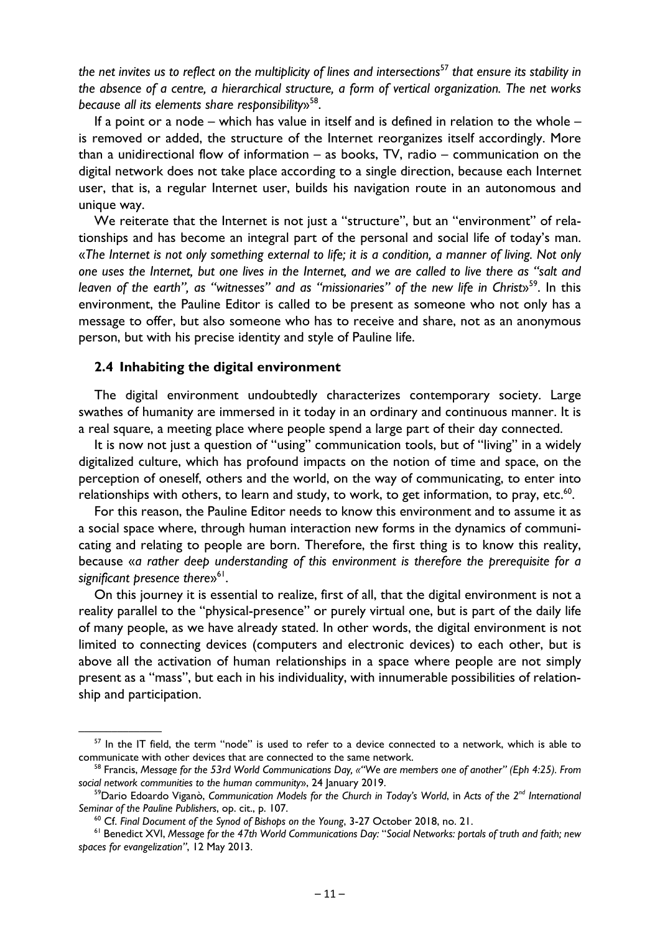*the net invites us to reflect on the multiplicity of lines and intersections*<sup>57</sup> *that ensure its stability in the absence of a centre, a hierarchical structure, a form of vertical organization. The net works because all its elements share responsibility*»58.

If a point or a node – which has value in itself and is defined in relation to the whole – is removed or added, the structure of the Internet reorganizes itself accordingly. More than a unidirectional flow of information – as books, TV, radio – communication on the digital network does not take place according to a single direction, because each Internet user, that is, a regular Internet user, builds his navigation route in an autonomous and unique way.

We reiterate that the Internet is not just a "structure", but an "environment" of relationships and has become an integral part of the personal and social life of today's man. «*The Internet is not only something external to life; it is a condition, a manner of living. Not only one uses the Internet, but one lives in the Internet, and we are called to live there as "salt and*  leaven of the earth", as "witnesses" and as "missionaries" of the new life in Christ»<sup>59</sup>. In this environment, the Pauline Editor is called to be present as someone who not only has a message to offer, but also someone who has to receive and share, not as an anonymous person, but with his precise identity and style of Pauline life.

#### **2.4 Inhabiting the digital environment**

The digital environment undoubtedly characterizes contemporary society. Large swathes of humanity are immersed in it today in an ordinary and continuous manner. It is a real square, a meeting place where people spend a large part of their day connected.

It is now not just a question of "using" communication tools, but of "living" in a widely digitalized culture, which has profound impacts on the notion of time and space, on the perception of oneself, others and the world, on the way of communicating, to enter into relationships with others, to learn and study, to work, to get information, to pray, etc.<sup>60</sup>.

For this reason, the Pauline Editor needs to know this environment and to assume it as a social space where, through human interaction new forms in the dynamics of communicating and relating to people are born. Therefore, the first thing is to know this reality, because «*a rather deep understanding of this environment is therefore the prerequisite for a*  significant presence there<sup>s<sup>61</sup>.</sup>

On this journey it is essential to realize, first of all, that the digital environment is not a reality parallel to the "physical-presence" or purely virtual one, but is part of the daily life of many people, as we have already stated. In other words, the digital environment is not limited to connecting devices (computers and electronic devices) to each other, but is above all the activation of human relationships in a space where people are not simply present as a "mass", but each in his individuality, with innumerable possibilities of relationship and participation.

 $57$  In the IT field, the term "node" is used to refer to a device connected to a network, which is able to communicate with other devices that are connected to the same network. 58 Francis, *Message for the 53rd World Communications Day, «"We are members one of another" (Eph 4:25). From* 

social network communities to the human community», 24 January 2019.<br><sup>59</sup>Dario Edoardo Viganò, *Communication Models for the Church in Today's World*, in *Acts of the 2<sup>nd</sup> International* 

Seminar of the Pauline Publishers, op. cit., p. 107.<br><sup>60</sup> Cf. Final Document of the Synod of Bishops on the Young, 3-27 October 2018, no. 21.<br><sup>61</sup> Benedict XVI, Message for the 47th World Communications Day: "Social Networ

*spaces for evangelization"*, 12 May 2013.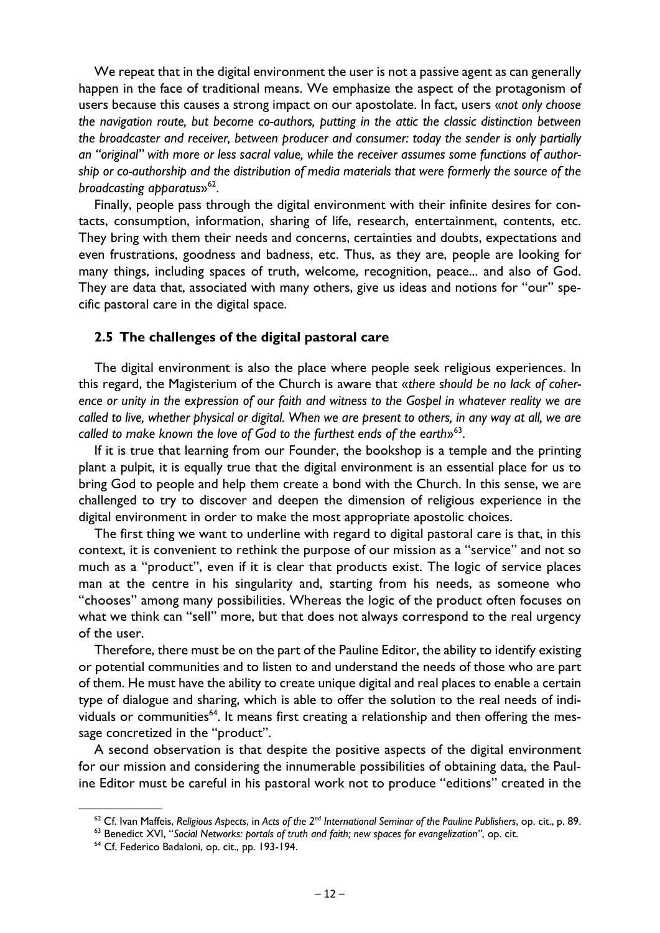We repeat that in the digital environment the user is not a passive agent as can generally happen in the face of traditional means. We emphasize the aspect of the protagonism of users because this causes a strong impact on our apostolate. In fact, users «*not only choose the navigation route, but become co-authors, putting in the attic the classic distinction between the broadcaster and receiver, between producer and consumer: today the sender is only partially an "original" with more or less sacral value, while the receiver assumes some functions of authorship or co-authorship and the distribution of media materials that were formerly the source of the broadcasting apparatus*»62.

Finally, people pass through the digital environment with their infinite desires for contacts, consumption, information, sharing of life, research, entertainment, contents, etc. They bring with them their needs and concerns, certainties and doubts, expectations and even frustrations, goodness and badness, etc. Thus, as they are, people are looking for many things, including spaces of truth, welcome, recognition, peace... and also of God. They are data that, associated with many others, give us ideas and notions for "our" specific pastoral care in the digital space.

#### **2.5 The challenges of the digital pastoral care**

The digital environment is also the place where people seek religious experiences. In this regard, the Magisterium of the Church is aware that «*there should be no lack of coherence or unity in the expression of our faith and witness to the Gospel in whatever reality we are called to live, whether physical or digital. When we are present to others, in any way at all, we are called to make known the love of God to the furthest ends of the earth*»63.

If it is true that learning from our Founder, the bookshop is a temple and the printing plant a pulpit, it is equally true that the digital environment is an essential place for us to bring God to people and help them create a bond with the Church. In this sense, we are challenged to try to discover and deepen the dimension of religious experience in the digital environment in order to make the most appropriate apostolic choices.

The first thing we want to underline with regard to digital pastoral care is that, in this context, it is convenient to rethink the purpose of our mission as a "service" and not so much as a "product", even if it is clear that products exist. The logic of service places man at the centre in his singularity and, starting from his needs, as someone who "chooses" among many possibilities. Whereas the logic of the product often focuses on what we think can "sell" more, but that does not always correspond to the real urgency of the user.

Therefore, there must be on the part of the Pauline Editor, the ability to identify existing or potential communities and to listen to and understand the needs of those who are part of them. He must have the ability to create unique digital and real places to enable a certain type of dialogue and sharing, which is able to offer the solution to the real needs of individuals or communities<sup>64</sup>. It means first creating a relationship and then offering the message concretized in the "product".

A second observation is that despite the positive aspects of the digital environment for our mission and considering the innumerable possibilities of obtaining data, the Pauline Editor must be careful in his pastoral work not to produce "editions" created in the

<sup>&</sup>lt;sup>62</sup> Cf. Ivan Maffeis, Religious Aspects, in Acts of the  $2^{nd}$  International Seminar of the Pauline Publishers, op. cit., p. 89.<br><sup>63</sup> Benedict XVI, "Social Networks: portals of truth and faith; new spaces for evangelizat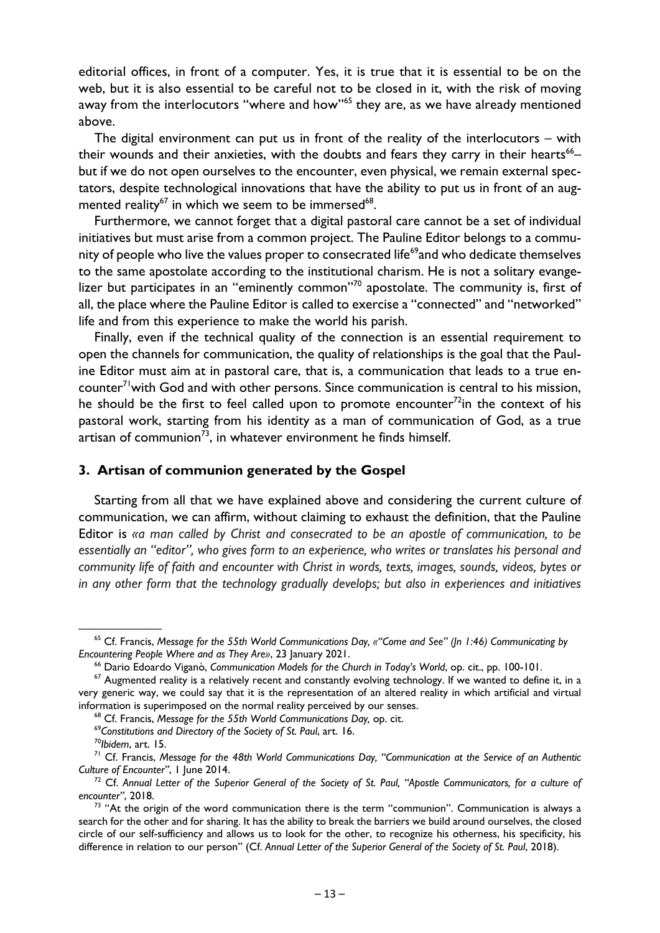editorial offices, in front of a computer. Yes, it is true that it is essential to be on the web, but it is also essential to be careful not to be closed in it, with the risk of moving away from the interlocutors "where and how"<sup>65</sup> they are, as we have already mentioned above.

The digital environment can put us in front of the reality of the interlocutors  $-$  with their wounds and their anxieties, with the doubts and fears they carry in their hearts<sup>66</sup>– but if we do not open ourselves to the encounter, even physical, we remain external spectators, despite technological innovations that have the ability to put us in front of an augmented reality<sup>67</sup> in which we seem to be immersed<sup>68</sup>.

Furthermore, we cannot forget that a digital pastoral care cannot be a set of individual initiatives but must arise from a common project. The Pauline Editor belongs to a community of people who live the values proper to consecrated life<sup>69</sup>and who dedicate themselves to the same apostolate according to the institutional charism. He is not a solitary evangelizer but participates in an "eminently common"<sup>70</sup> apostolate. The community is, first of all, the place where the Pauline Editor is called to exercise a "connected" and "networked" life and from this experience to make the world his parish.

Finally, even if the technical quality of the connection is an essential requirement to open the channels for communication, the quality of relationships is the goal that the Pauline Editor must aim at in pastoral care, that is, a communication that leads to a true encounter<sup>71</sup> with God and with other persons. Since communication is central to his mission, he should be the first to feel called upon to promote encounter $72$ in the context of his pastoral work, starting from his identity as a man of communication of God, as a true artisan of communion<sup>73</sup>, in whatever environment he finds himself.

# **3. Artisan of communion generated by the Gospel**

Starting from all that we have explained above and considering the current culture of communication, we can affirm, without claiming to exhaust the definition, that the Pauline Editor is *«a man called by Christ and consecrated to be an apostle of communication, to be essentially an "editor", who gives form to an experience, who writes or translates his personal and community life of faith and encounter with Christ in words, texts, images, sounds, videos, bytes or in any other form that the technology gradually develops; but also in experiences and initiatives* 

<sup>&</sup>lt;sup>65</sup> Cf. Francis, *Message for the 55th World Communications Day, «"Come and See" (Jn 1:46) Communicating by Encountering People Where and as They Are», 23 January 2021.* 

<sup>&</sup>lt;sup>66</sup> Dario Edoardo Viganò, Communication Models for the Church in Today's World, op. cit., pp. 100-101.<br><sup>67</sup> Augmented reality is a relatively recent and constantly evolving technology. If we wanted to define it, in a

very generic way, we could say that it is the representation of an altered reality in which artificial and virtual

information is superimposed on the normal reality perceived by our senses.<br><sup>68</sup> Cf. Francis, Message for the 55th World Communications Day, op. cit.<br><sup>69</sup>Constitutions and Directory of the Society of St. Paul, art. 16.<br><sup>70</sup>

<sup>&</sup>lt;sup>72</sup> Cf. Annual Letter of the Superior General of the Society of St. Paul, "Apostle Communicators, for a culture of encounter", 2018.

<sup>&</sup>lt;sup>73</sup> "At the origin of the word communication there is the term "communion". Communication is always a search for the other and for sharing. It has the ability to break the barriers we build around ourselves, the closed circle of our self-sufficiency and allows us to look for the other, to recognize his otherness, his specificity, his difference in relation to our person" (Cf. *Annual Letter of the Superior General of the Society of St. Paul*, 2018).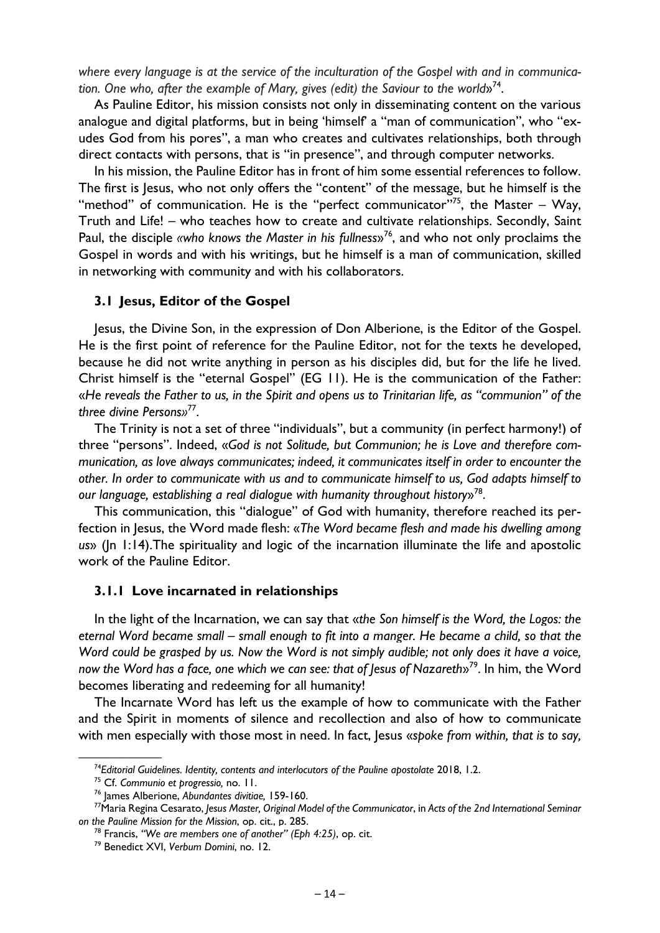*where every language is at the service of the inculturation of the Gospel with and in communica*tion. One who, after the example of Mary, gives (edit) the Saviour to the world»<sup>74</sup>.

As Pauline Editor, his mission consists not only in disseminating content on the various analogue and digital platforms, but in being 'himself' a "man of communication", who "exudes God from his pores", a man who creates and cultivates relationships, both through direct contacts with persons, that is "in presence", and through computer networks.

In his mission, the Pauline Editor has in front of him some essential references to follow. The first is Jesus, who not only offers the "content" of the message, but he himself is the "method" of communication. He is the "perfect communicator"<sup>75</sup>, the Master – Way, Truth and Life! – who teaches how to create and cultivate relationships. Secondly, Saint Paul, the disciple *«who knows the Master in his fullness*»76, and who not only proclaims the Gospel in words and with his writings, but he himself is a man of communication, skilled in networking with community and with his collaborators.

#### **3.1 Jesus, Editor of the Gospel**

Jesus, the Divine Son, in the expression of Don Alberione, is the Editor of the Gospel. He is the first point of reference for the Pauline Editor, not for the texts he developed, because he did not write anything in person as his disciples did, but for the life he lived. Christ himself is the "eternal Gospel" (EG 11). He is the communication of the Father: «*He reveals the Father to us, in the Spirit and opens us to Trinitarian life, as "communion" of the three divine Persons»*77.

The Trinity is not a set of three "individuals", but a community (in perfect harmony!) of three "persons". Indeed, «*God is not Solitude, but Communion; he is Love and therefore communication, as love always communicates; indeed, it communicates itself in order to encounter the other. In order to communicate with us and to communicate himself to us, God adapts himself to our language, establishing a real dialogue with humanity throughout history*»78.

This communication, this "dialogue" of God with humanity, therefore reached its perfection in Jesus, the Word made flesh: «*The Word became flesh and made his dwelling among us*» (Jn 1:14).The spirituality and logic of the incarnation illuminate the life and apostolic work of the Pauline Editor.

#### **3.1.1 Love incarnated in relationships**

In the light of the Incarnation, we can say that «*the Son himself is the Word, the Logos: the eternal Word became small – small enough to fit into a manger. He became a child, so that the Word could be grasped by us. Now the Word is not simply audible; not only does it have a voice, now the Word has a face, one which we can see: that of Jesus of Nazareth*»79. In him, the Word becomes liberating and redeeming for all humanity!

The Incarnate Word has left us the example of how to communicate with the Father and the Spirit in moments of silence and recollection and also of how to communicate with men especially with those most in need. In fact, Jesus «*spoke from within, that is to say,* 

<sup>&</sup>lt;sup>74</sup>Editorial Guidelines. Identity, contents and interlocutors of the Pauline apostolate 2018, 1.2.<br><sup>75</sup> Cf. Communio et progressio, no. 11.<br><sup>76</sup> James Alberione, Abundantes divitiae, 159-160.<br><sup>77</sup>Maria Regina Cesarato, l *on the Pauline Mission for the Mission*, op. cit., p. 285. 78 Francis, *"We are members one of another" (Eph 4:25)*, op. cit. 79 Benedict XVI, *Verbum Domini*, no. 12.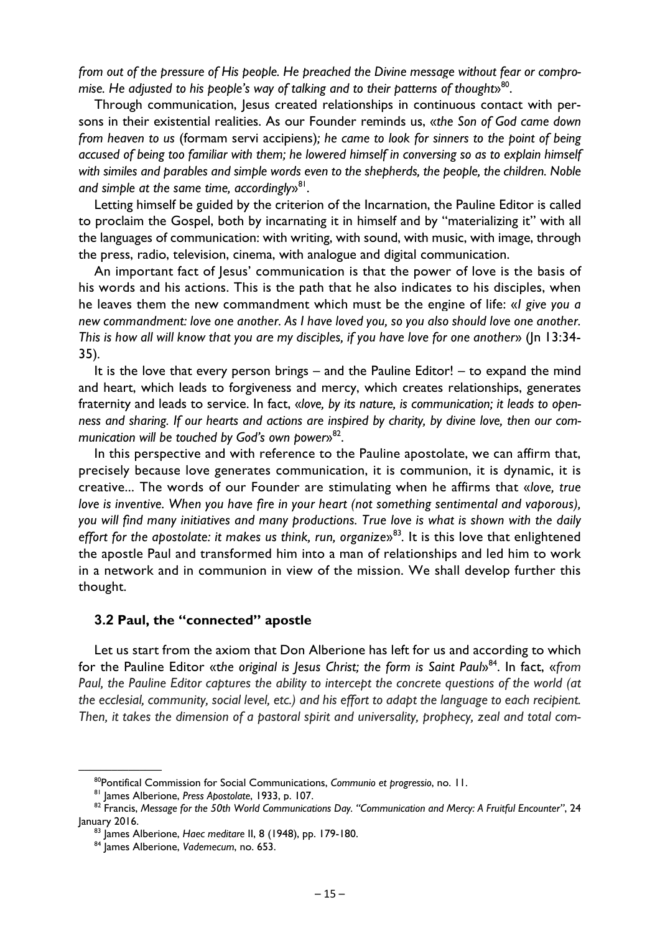*from out of the pressure of His people. He preached the Divine message without fear or compromise. He adjusted to his people's way of talking and to their patterns of thought*<sup>80</sup>.

Through communication, Jesus created relationships in continuous contact with persons in their existential realities. As our Founder reminds us, «*the Son of God came down from heaven to us* (formam servi accipiens)*; he came to look for sinners to the point of being accused of being too familiar with them; he lowered himself in conversing so as to explain himself with similes and parables and simple words even to the shepherds, the people, the children. Noble*  and simple at the same time, accordingly<sup>81</sup>.

Letting himself be guided by the criterion of the Incarnation, the Pauline Editor is called to proclaim the Gospel, both by incarnating it in himself and by "materializing it" with all the languages of communication: with writing, with sound, with music, with image, through the press, radio, television, cinema, with analogue and digital communication.

An important fact of Jesus' communication is that the power of love is the basis of his words and his actions. This is the path that he also indicates to his disciples, when he leaves them the new commandment which must be the engine of life: «*I give you a new commandment: love one another. As I have loved you, so you also should love one another. This is how all will know that you are my disciples, if you have love for one another*» (Jn 13:34- 35)*.*

It is the love that every person brings – and the Pauline Editor! – to expand the mind and heart, which leads to forgiveness and mercy, which creates relationships, generates fraternity and leads to service. In fact, «*love, by its nature, is communication; it leads to openness and sharing. If our hearts and actions are inspired by charity, by divine love, then our com*munication will be touched by God's own power<sup>82</sup>.

In this perspective and with reference to the Pauline apostolate, we can affirm that, precisely because love generates communication, it is communion, it is dynamic, it is creative... The words of our Founder are stimulating when he affirms that «*love, true love is inventive. When you have fire in your heart (not something sentimental and vaporous), you will find many initiatives and many productions. True love is what is shown with the daily effort for the apostolate: it makes us think, run, organize»<sup>83</sup>. It is this love that enlightened* the apostle Paul and transformed him into a man of relationships and led him to work in a network and in communion in view of the mission. We shall develop further this thought.

# **3.2 Paul, the "connected" apostle**

Let us start from the axiom that Don Alberione has left for us and according to which for the Pauline Editor «the original is Jesus Christ; the form is Saint Paul»<sup>84</sup>. In fact, «*from Paul, the Pauline Editor captures the ability to intercept the concrete questions of the world (at the ecclesial, community, social level, etc.) and his effort to adapt the language to each recipient. Then, it takes the dimension of a pastoral spirit and universality, prophecy, zeal and total com-*

<sup>&</sup>lt;sup>80</sup> Pontifical Commission for Social Communications, Communio et progressio, no. 11.<br><sup>81</sup> James Alberione, Press Apostolate, 1933, p. 107.<br><sup>82</sup> Francis, Message for the 50th World Communications Day. "Communication and Me January 2016. 83 James Alberione, *Haec meditare* II, 8 (1948), pp. 179-180. 84 James Alberione, *Vademecum*, no. 653.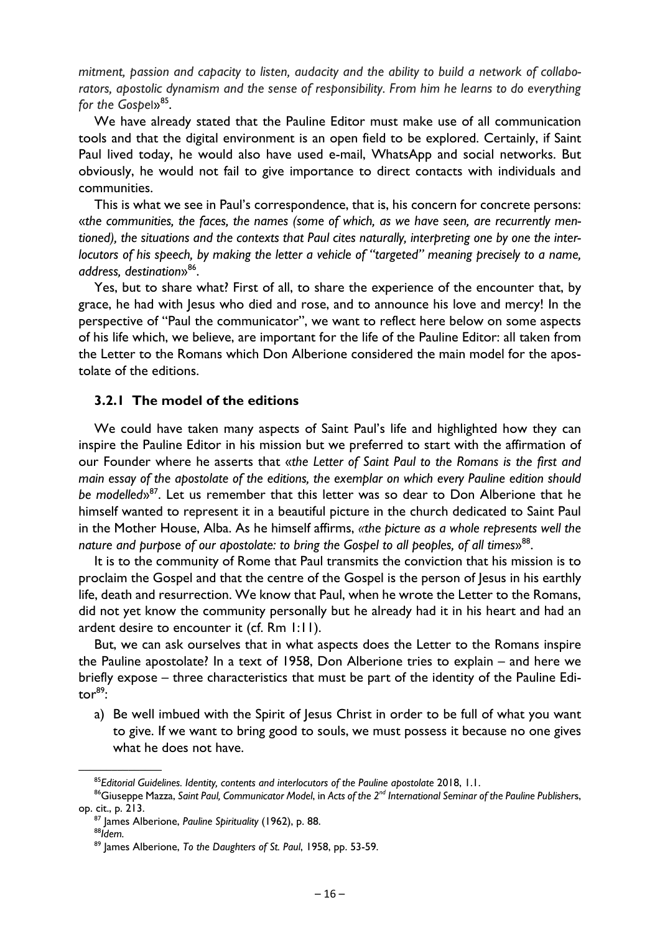*mitment, passion and capacity to listen, audacity and the ability to build a network of collaborators, apostolic dynamism and the sense of responsibility. From him he learns to do everything*  for the Gospel»<sup>85</sup>.

We have already stated that the Pauline Editor must make use of all communication tools and that the digital environment is an open field to be explored. Certainly, if Saint Paul lived today, he would also have used e-mail, WhatsApp and social networks. But obviously, he would not fail to give importance to direct contacts with individuals and communities.

This is what we see in Paul's correspondence, that is, his concern for concrete persons: «*the communities, the faces, the names (some of which, as we have seen, are recurrently mentioned), the situations and the contexts that Paul cites naturally, interpreting one by one the interlocutors of his speech, by making the letter a vehicle of "targeted" meaning precisely to a name, address, destination*»86.

Yes, but to share what? First of all, to share the experience of the encounter that, by grace, he had with Jesus who died and rose, and to announce his love and mercy! In the perspective of "Paul the communicator", we want to reflect here below on some aspects of his life which, we believe, are important for the life of the Pauline Editor: all taken from the Letter to the Romans which Don Alberione considered the main model for the apostolate of the editions.

# **3.2.1 The model of the editions**

We could have taken many aspects of Saint Paul's life and highlighted how they can inspire the Pauline Editor in his mission but we preferred to start with the affirmation of our Founder where he asserts that «*the Letter of Saint Paul to the Romans is the first and main essay of the apostolate of the editions, the exemplar on which every Pauline edition should be modelled*»87. Let us remember that this letter was so dear to Don Alberione that he himself wanted to represent it in a beautiful picture in the church dedicated to Saint Paul in the Mother House, Alba. As he himself affirms, *«the picture as a whole represents well the nature and purpose of our apostolate: to bring the Gospel to all peoples, of all times*»88.

It is to the community of Rome that Paul transmits the conviction that his mission is to proclaim the Gospel and that the centre of the Gospel is the person of Jesus in his earthly life, death and resurrection. We know that Paul, when he wrote the Letter to the Romans, did not yet know the community personally but he already had it in his heart and had an ardent desire to encounter it (cf. Rm 1:11).

But, we can ask ourselves that in what aspects does the Letter to the Romans inspire the Pauline apostolate? In a text of 1958, Don Alberione tries to explain – and here we briefly expose – three characteristics that must be part of the identity of the Pauline Edito $r^{89}$ :

a) Be well imbued with the Spirit of Jesus Christ in order to be full of what you want to give. If we want to bring good to souls, we must possess it because no one gives what he does not have.

<sup>&</sup>lt;sup>85</sup>Editorial Guidelines. Identity, contents and interlocutors of the Pauline apostolate 2018, 1.1.<br><sup>86</sup>Giuseppe Mazza, Saint Paul, Communicator Model, in Acts of the 2<sup>nd</sup> International Seminar of the Pauline Publishers, op. cit., p. 213. 87 James Alberione, *Pauline Spirituality* (1962), p. 88. 88*Idem.*

<sup>89</sup> James Alberione, *To the Daughters of St. Paul*, 1958, pp. 53-59.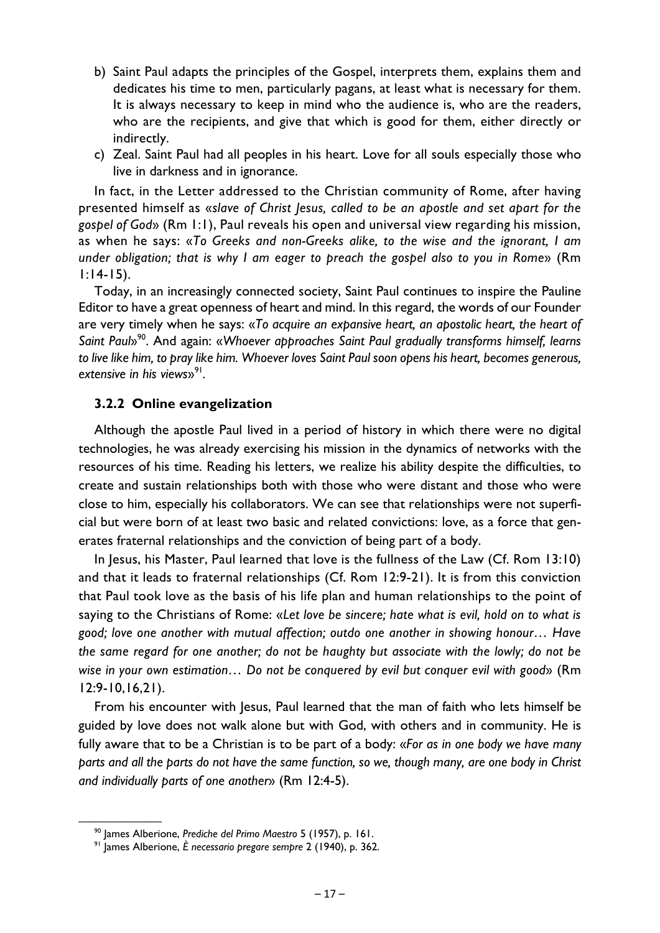- b) Saint Paul adapts the principles of the Gospel, interprets them, explains them and dedicates his time to men, particularly pagans, at least what is necessary for them. It is always necessary to keep in mind who the audience is, who are the readers, who are the recipients, and give that which is good for them, either directly or indirectly.
- c) Zeal. Saint Paul had all peoples in his heart. Love for all souls especially those who live in darkness and in ignorance.

In fact, in the Letter addressed to the Christian community of Rome, after having presented himself as «*slave of Christ Jesus, called to be an apostle and set apart for the gospel of God*» (Rm 1:1), Paul reveals his open and universal view regarding his mission, as when he says: «*To Greeks and non-Greeks alike, to the wise and the ignorant, I am under obligation; that is why I am eager to preach the gospel also to you in Rome*» (Rm 1:14-15).

Today, in an increasingly connected society, Saint Paul continues to inspire the Pauline Editor to have a great openness of heart and mind. In this regard, the words of our Founder are very timely when he says: «*To acquire an expansive heart, an apostolic heart, the heart of Saint Paul*»90. And again: «*Whoever approaches Saint Paul gradually transforms himself, learns to live like him, to pray like him. Whoever loves Saint Paul soon opens his heart, becomes generous, extensive in his views*»91*.* 

## **3.2.2 Online evangelization**

Although the apostle Paul lived in a period of history in which there were no digital technologies, he was already exercising his mission in the dynamics of networks with the resources of his time. Reading his letters, we realize his ability despite the difficulties, to create and sustain relationships both with those who were distant and those who were close to him, especially his collaborators. We can see that relationships were not superficial but were born of at least two basic and related convictions: love, as a force that generates fraternal relationships and the conviction of being part of a body.

In Jesus, his Master, Paul learned that love is the fullness of the Law (Cf. Rom 13:10) and that it leads to fraternal relationships (Cf. Rom 12:9-21). It is from this conviction that Paul took love as the basis of his life plan and human relationships to the point of saying to the Christians of Rome: «*Let love be sincere; hate what is evil, hold on to what is good; love one another with mutual affection; outdo one another in showing honour… Have the same regard for one another; do not be haughty but associate with the lowly; do not be wise in your own estimation… Do not be conquered by evil but conquer evil with good*» (Rm 12:9-10,16,21).

From his encounter with Jesus, Paul learned that the man of faith who lets himself be guided by love does not walk alone but with God, with others and in community. He is fully aware that to be a Christian is to be part of a body: «*For as in one body we have many parts and all the parts do not have the same function, so we, though many, are one body in Christ and individually parts of one another*» (Rm 12:4-5).

<sup>&</sup>lt;sup>90</sup> James Alberione, *Prediche del Primo Maestro* 5 (1957), p. 161.<br><sup>91</sup> James Alberione, *È necessario pregare sempre* 2 (1940), p. 362.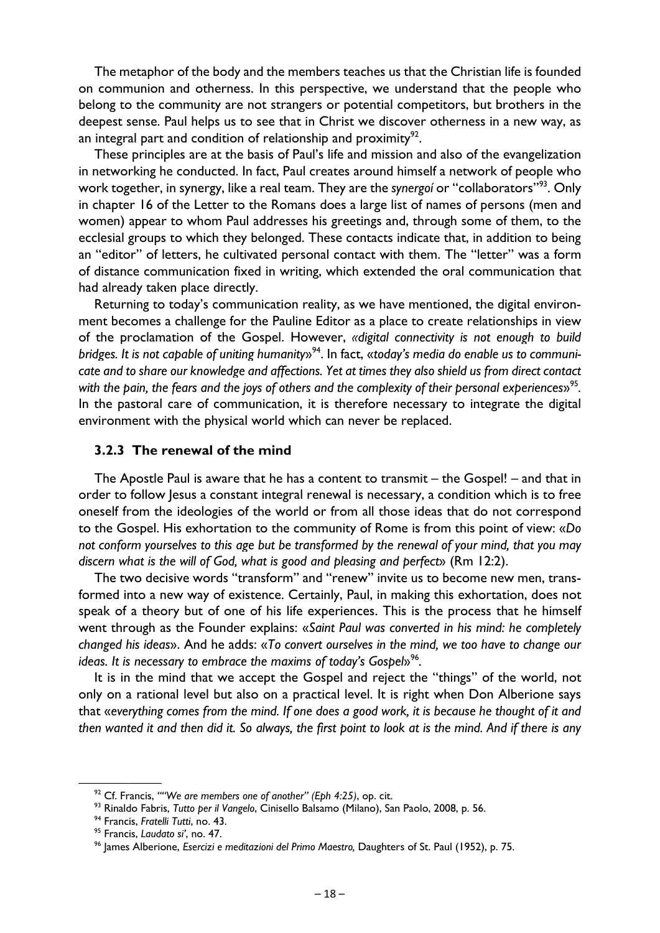The metaphor of the body and the members teaches us that the Christian life is founded on communion and otherness. In this perspective, we understand that the people who belong to the community are not strangers or potential competitors, but brothers in the deepest sense. Paul helps us to see that in Christ we discover otherness in a new way, as an integral part and condition of relationship and proximity $^{92}$ .

These principles are at the basis of Paul's life and mission and also of the evangelization in networking he conducted. In fact, Paul creates around himself a network of people who work together, in synergy, like a real team. They are the *synergoí* or "collaborators"93. Only in chapter 16 of the Letter to the Romans does a large list of names of persons (men and women) appear to whom Paul addresses his greetings and, through some of them, to the ecclesial groups to which they belonged. These contacts indicate that, in addition to being an "editor" of letters, he cultivated personal contact with them. The "letter" was a form of distance communication fixed in writing, which extended the oral communication that had already taken place directly.

Returning to today's communication reality, as we have mentioned, the digital environment becomes a challenge for the Pauline Editor as a place to create relationships in view of the proclamation of the Gospel. However, *«digital connectivity is not enough to build bridges. It is not capable of uniting humanity*»94. In fact, «*today's media do enable us to communicate and to share our knowledge and affections. Yet at times they also shield us from direct contact*  with the pain, the fears and the joys of others and the complexity of their personal experiences»<sup>95</sup>. In the pastoral care of communication, it is therefore necessary to integrate the digital environment with the physical world which can never be replaced.

#### **3.2.3 The renewal of the mind**

The Apostle Paul is aware that he has a content to transmit – the Gospel! – and that in order to follow Jesus a constant integral renewal is necessary, a condition which is to free oneself from the ideologies of the world or from all those ideas that do not correspond to the Gospel. His exhortation to the community of Rome is from this point of view: «*Do not conform yourselves to this age but be transformed by the renewal of your mind, that you may discern what is the will of God, what is good and pleasing and perfect*» (Rm 12:2).

The two decisive words "transform" and "renew" invite us to become new men, transformed into a new way of existence. Certainly, Paul, in making this exhortation, does not speak of a theory but of one of his life experiences. This is the process that he himself went through as the Founder explains: «*Saint Paul was converted in his mind: he completely changed his ideas*». And he adds: «*To convert ourselves in the mind, we too have to change our ideas. It is necessary to embrace the maxims of today's Gospel*<sup>96</sup>.

It is in the mind that we accept the Gospel and reject the "things" of the world, not only on a rational level but also on a practical level. It is right when Don Alberione says that «*everything comes from the mind. If one does a good work, it is because he thought of it and then wanted it and then did it. So always, the first point to look at is the mind. And if there is any* 

<sup>&</sup>lt;sup>92</sup> Cf. Francis, ""We are members one of another" (Eph 4:25), op. cit.<br><sup>93</sup> Rinaldo Fabris, *Tutto per il Vangelo*, Cinisello Balsamo (Milano), San Paolo, 2008, p. 56.<br><sup>94</sup> Francis, *Fratelli Tutti*, no. 43.<br><sup>95</sup> Francis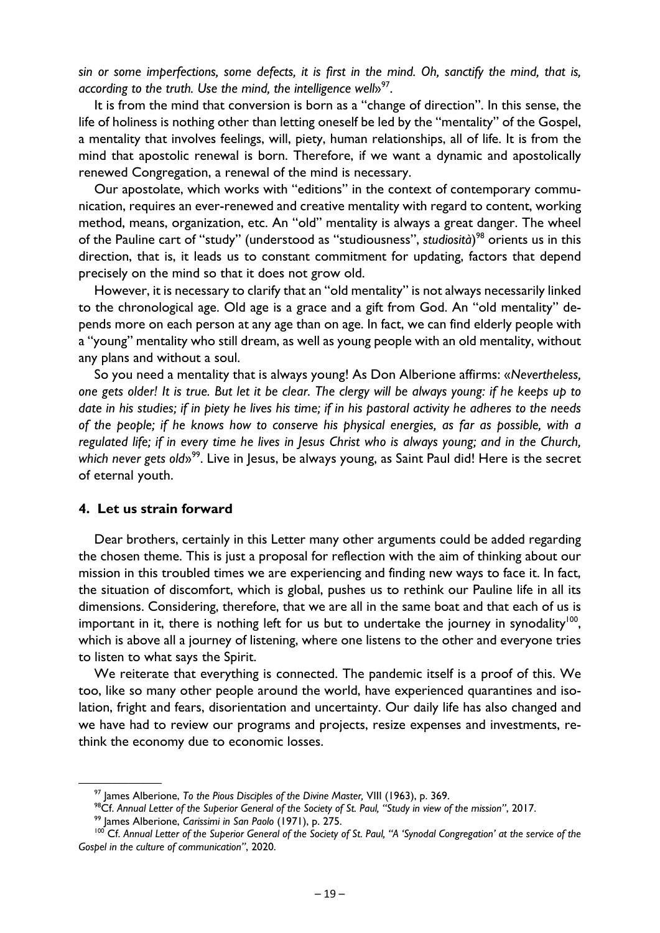*sin or some imperfections, some defects, it is first in the mind. Oh, sanctify the mind, that is, according to the truth. Use the mind, the intelligence well*<sup>97</sup>.

It is from the mind that conversion is born as a "change of direction". In this sense, the life of holiness is nothing other than letting oneself be led by the "mentality" of the Gospel, a mentality that involves feelings, will, piety, human relationships, all of life. It is from the mind that apostolic renewal is born. Therefore, if we want a dynamic and apostolically renewed Congregation, a renewal of the mind is necessary.

Our apostolate, which works with "editions" in the context of contemporary communication, requires an ever-renewed and creative mentality with regard to content, working method, means, organization, etc. An "old" mentality is always a great danger. The wheel of the Pauline cart of "study" (understood as "studiousness", *studiosità*) 98 orients us in this direction, that is, it leads us to constant commitment for updating, factors that depend precisely on the mind so that it does not grow old.

However, it is necessary to clarify that an "old mentality" is not always necessarily linked to the chronological age. Old age is a grace and a gift from God. An "old mentality" depends more on each person at any age than on age. In fact, we can find elderly people with a "young" mentality who still dream, as well as young people with an old mentality, without any plans and without a soul.

So you need a mentality that is always young! As Don Alberione affirms: «*Nevertheless, one gets older! It is true. But let it be clear. The clergy will be always young: if he keeps up to date in his studies; if in piety he lives his time; if in his pastoral activity he adheres to the needs of the people; if he knows how to conserve his physical energies, as far as possible, with a regulated life; if in every time he lives in Jesus Christ who is always young; and in the Church,*  which never gets old»<sup>99</sup>. Live in Jesus, be always young, as Saint Paul did! Here is the secret of eternal youth.

#### **4. Let us strain forward**

Dear brothers, certainly in this Letter many other arguments could be added regarding the chosen theme. This is just a proposal for reflection with the aim of thinking about our mission in this troubled times we are experiencing and finding new ways to face it. In fact, the situation of discomfort, which is global, pushes us to rethink our Pauline life in all its dimensions. Considering, therefore, that we are all in the same boat and that each of us is important in it, there is nothing left for us but to undertake the journey in synodality<sup>100</sup>, which is above all a journey of listening, where one listens to the other and everyone tries to listen to what says the Spirit.

We reiterate that everything is connected. The pandemic itself is a proof of this. We too, like so many other people around the world, have experienced quarantines and isolation, fright and fears, disorientation and uncertainty. Our daily life has also changed and we have had to review our programs and projects, resize expenses and investments, rethink the economy due to economic losses.

<sup>&</sup>lt;sup>97</sup> James Alberione, To the Pious Disciples of the Divine Master, VIII (1963), p. 369.<br><sup>98</sup>Cf. Annual Letter of the Superior General of the Society of St. Paul, "Study in view of the mission", 2017.<br><sup>99</sup> James Alberione, *Gospel in the culture of communication"*, 2020.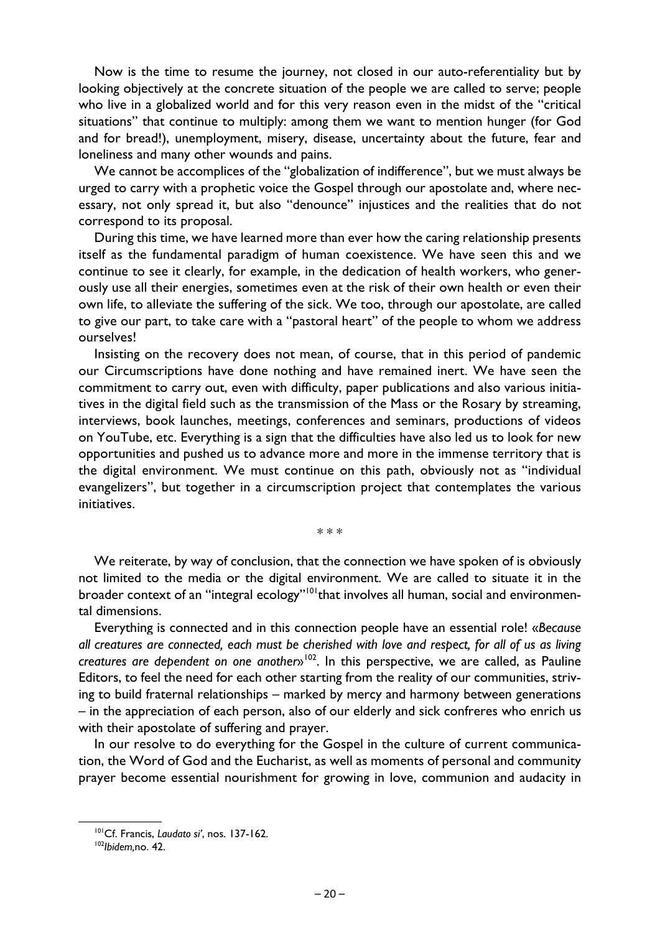Now is the time to resume the journey, not closed in our auto-referentiality but by looking objectively at the concrete situation of the people we are called to serve; people who live in a globalized world and for this very reason even in the midst of the "critical situations" that continue to multiply: among them we want to mention hunger (for God and for bread!), unemployment, misery, disease, uncertainty about the future, fear and loneliness and many other wounds and pains.

We cannot be accomplices of the "globalization of indifference", but we must always be urged to carry with a prophetic voice the Gospel through our apostolate and, where necessary, not only spread it, but also "denounce" injustices and the realities that do not correspond to its proposal.

During this time, we have learned more than ever how the caring relationship presents itself as the fundamental paradigm of human coexistence. We have seen this and we continue to see it clearly, for example, in the dedication of health workers, who generously use all their energies, sometimes even at the risk of their own health or even their own life, to alleviate the suffering of the sick. We too, through our apostolate, are called to give our part, to take care with a "pastoral heart" of the people to whom we address ourselves!

Insisting on the recovery does not mean, of course, that in this period of pandemic our Circumscriptions have done nothing and have remained inert. We have seen the commitment to carry out, even with difficulty, paper publications and also various initiatives in the digital field such as the transmission of the Mass or the Rosary by streaming, interviews, book launches, meetings, conferences and seminars, productions of videos on YouTube, etc. Everything is a sign that the difficulties have also led us to look for new opportunities and pushed us to advance more and more in the immense territory that is the digital environment. We must continue on this path, obviously not as "individual evangelizers", but together in a circumscription project that contemplates the various initiatives.

\* \* \*

We reiterate, by way of conclusion, that the connection we have spoken of is obviously not limited to the media or the digital environment. We are called to situate it in the broader context of an "integral ecology"<sup>101</sup>that involves all human, social and environmental dimensions.

Everything is connected and in this connection people have an essential role! «*Because all creatures are connected, each must be cherished with love and respect, for all of us as living creatures are dependent on one another*»102. In this perspective, we are called, as Pauline Editors, to feel the need for each other starting from the reality of our communities, striving to build fraternal relationships – marked by mercy and harmony between generations – in the appreciation of each person, also of our elderly and sick confreres who enrich us with their apostolate of suffering and prayer.

In our resolve to do everything for the Gospel in the culture of current communication, the Word of God and the Eucharist, as well as moments of personal and community prayer become essential nourishment for growing in love, communion and audacity in

<sup>&</sup>lt;sup>101</sup>Cf. Francis, *Laudato si'*, nos. 137-162.<br><sup>102</sup>*Ibidem.no.* 42.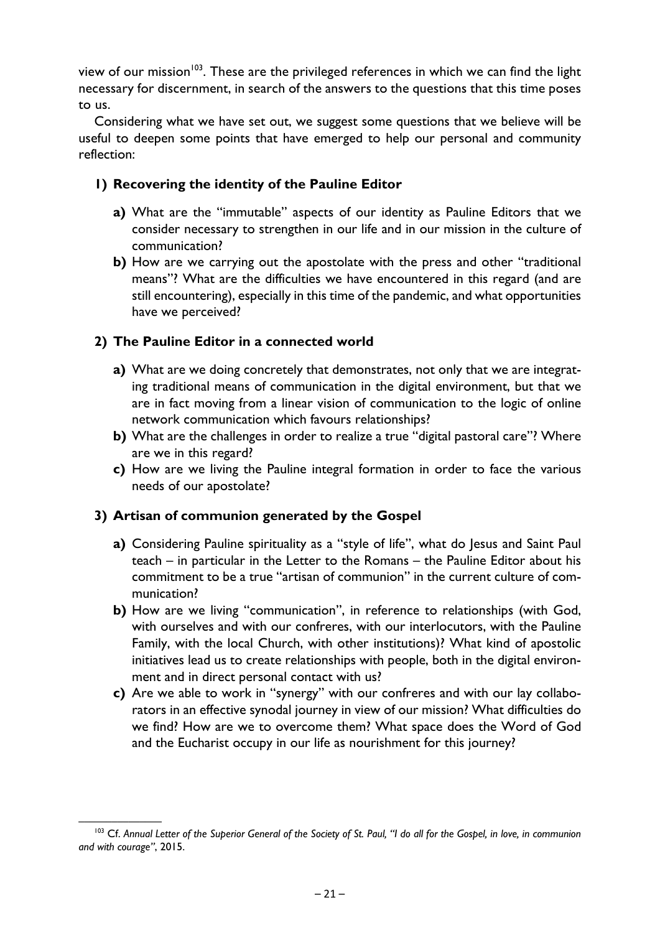view of our mission<sup>103</sup>. These are the privileged references in which we can find the light necessary for discernment, in search of the answers to the questions that this time poses to us.

Considering what we have set out, we suggest some questions that we believe will be useful to deepen some points that have emerged to help our personal and community reflection:

# **1) Recovering the identity of the Pauline Editor**

- **a)** What are the "immutable" aspects of our identity as Pauline Editors that we consider necessary to strengthen in our life and in our mission in the culture of communication?
- **b)** How are we carrying out the apostolate with the press and other "traditional means"? What are the difficulties we have encountered in this regard (and are still encountering), especially in this time of the pandemic, and what opportunities have we perceived?

# **2) The Pauline Editor in a connected world**

- **a)** What are we doing concretely that demonstrates, not only that we are integrating traditional means of communication in the digital environment, but that we are in fact moving from a linear vision of communication to the logic of online network communication which favours relationships?
- **b)** What are the challenges in order to realize a true "digital pastoral care"? Where are we in this regard?
- **c)** How are we living the Pauline integral formation in order to face the various needs of our apostolate?

# **3) Artisan of communion generated by the Gospel**

- **a)** Considering Pauline spirituality as a "style of life", what do Jesus and Saint Paul teach – in particular in the Letter to the Romans – the Pauline Editor about his commitment to be a true "artisan of communion" in the current culture of communication?
- **b)** How are we living "communication", in reference to relationships (with God, with ourselves and with our confreres, with our interlocutors, with the Pauline Family, with the local Church, with other institutions)? What kind of apostolic initiatives lead us to create relationships with people, both in the digital environment and in direct personal contact with us?
- **c)** Are we able to work in "synergy" with our confreres and with our lay collaborators in an effective synodal journey in view of our mission? What difficulties do we find? How are we to overcome them? What space does the Word of God and the Eucharist occupy in our life as nourishment for this journey?

<sup>&</sup>lt;sup>103</sup> Cf. Annual Letter of the Superior General of the Society of St. Paul, "I do all for the Gospel, in love, in communion *and with courage"*, 2015.